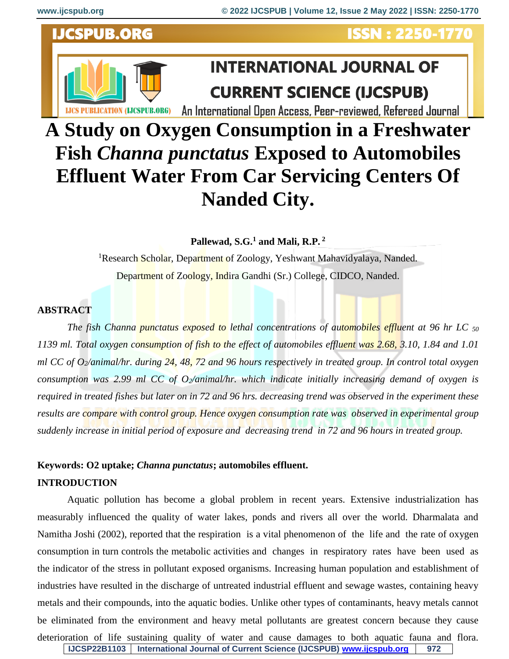# **LICS PUBLICATION (LICSPUB.ORG)**

**IJCSPUB.ORG** 

## **ISSN: 2250-1770**

## **INTERNATIONAL JOURNAL OF CURRENT SCIENCE (IJCSPUB)**

An International Open Access, Peer-reviewed, Refereed Journal

### **A Study on Oxygen Consumption in a Freshwater Fish** *Channa punctatus* **Exposed to Automobiles Effluent Water From Car Servicing Centers Of Nanded City.**

**Pallewad, S.G.<sup>1</sup> and Mali, R.P. <sup>2</sup>**

<sup>1</sup>Research Scholar, Department of Zoology, Yeshwant Mahavidyalaya, Nanded. Department of Zoology, Indira Gandhi (Sr.) College, CIDCO, Nanded.

#### **ABSTRACT**

*The fish Channa punctatus exposed to lethal concentrations of automobiles effluent at 96 hr LC <sup>50</sup> 1139 ml. Total oxygen consumption of fish to the effect of automobiles effluent was 2.68, 3.10, 1.84 and 1.01 ml CC of O2/animal/hr. during 24, 48, 72 and 96 hours respectively in treated group. In control total oxygen consumption was 2.99 ml CC of O2/animal/hr. which indicate initially increasing demand of oxygen is required in treated fishes but later on in 72 and 96 hrs. decreasing trend was observed in the experiment these*  results are compare with control group. Hence oxygen consumption rate was observed in experimental group *suddenly increase in initial period of exposure and decreasing trend in 72 and 96 hours in treated group.*

#### **Keywords: O2 uptake;** *Channa punctatus***; automobiles effluent. INTRODUCTION**

**IJCSP22B1103 International Journal of Current Science (IJCSPUB) [www.ijcspub.org](http://www.ijcrt.org/) 972** Aquatic pollution has become a global problem in recent years. Extensive industrialization has measurably influenced the quality of water lakes, ponds and rivers all over the world. Dharmalata and Namitha Joshi (2002), reported that the respiration is a vital phenomenon of the life and the rate of oxygen consumption in turn controls the metabolic activities and changes in respiratory rates have been used as the indicator of the stress in pollutant exposed organisms. Increasing human population and establishment of industries have resulted in the discharge of untreated industrial effluent and sewage wastes, containing heavy metals and their compounds, into the aquatic bodies. Unlike other types of contaminants, heavy metals cannot be eliminated from the environment and heavy metal pollutants are greatest concern because they cause deterioration of life sustaining quality of water and cause damages to both aquatic fauna and flora.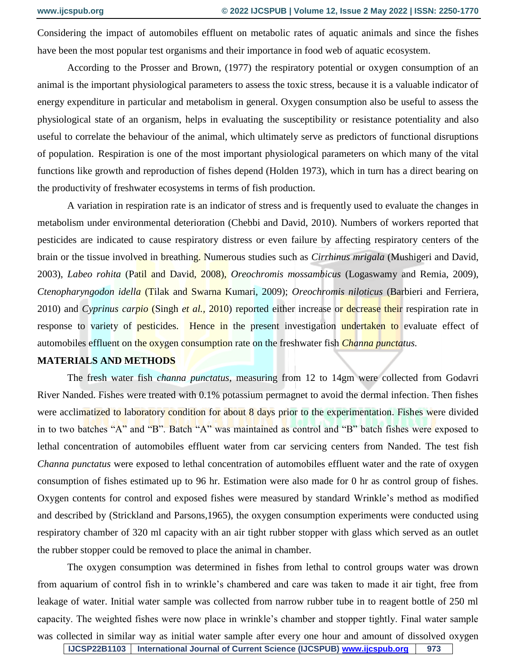Considering the impact of automobiles effluent on metabolic rates of aquatic animals and since the fishes have been the most popular test organisms and their importance in food web of aquatic ecosystem.

According to the Prosser and Brown, (1977) the respiratory potential or oxygen consumption of an animal is the important physiological parameters to assess the toxic stress, because it is a valuable indicator of energy expenditure in particular and metabolism in general. Oxygen consumption also be useful to assess the physiological state of an organism, helps in evaluating the susceptibility or resistance potentiality and also useful to correlate the behaviour of the animal, which ultimately serve as predictors of functional disruptions of population. Respiration is one of the most important physiological parameters on which many of the vital functions like growth and reproduction of fishes depend (Holden 1973), which in turn has a direct bearing on the productivity of freshwater ecosystems in terms of fish production.

A variation in respiration rate is an indicator of stress and is frequently used to evaluate the changes in metabolism under environmental deterioration (Chebbi and David, 2010). Numbers of workers reported that pesticides are indicated to cause respiratory distress or even failure by affecting respiratory centers of the brain or the tissue involved in breathing. Numerous studies such as *Cirrhinus mrigala* (Mushigeri and David, 2003), *Labeo rohita* (Patil and David, 2008), *Oreochromis mossambicus* (Logaswamy and Remia, 2009), *Ctenopharyngodon idella* (Tilak and Swarna Kumari, 2009); *Oreochromis niloticus* (Barbieri and Ferriera, 2010) and *Cyprinus carpio* (Singh *et al.,* 2010) reported either increase or decrease their respiration rate in response to variety of pesticides. Hence in the present investigation undertaken to evaluate effect of automobiles effluent on the oxygen consumption rate on the freshwater fish *Channa punctatus.*

#### **MATERIALS AND METHODS**

The fresh water fish *channa punctatus*, measuring from 12 to 14gm were collected from Godavri River Nanded. Fishes were treated with 0.1% potassium permagnet to avoid the dermal infection. Then fishes were acclimatized to laboratory condition for about 8 days prior to the experimentation. Fishes were divided in to two batches "A" and "B". Batch "A" was maintained as control and "B" batch fishes were exposed to lethal concentration of automobiles effluent water from car servicing centers from Nanded. The test fish *Channa punctatus* were exposed to lethal concentration of automobiles effluent water and the rate of oxygen consumption of fishes estimated up to 96 hr. Estimation were also made for 0 hr as control group of fishes. Oxygen contents for control and exposed fishes were measured by standard Wrinkle's method as modified and described by (Strickland and Parsons,1965), the oxygen consumption experiments were conducted using respiratory chamber of 320 ml capacity with an air tight rubber stopper with glass which served as an outlet the rubber stopper could be removed to place the animal in chamber.

The oxygen consumption was determined in fishes from lethal to control groups water was drown from aquarium of control fish in to wrinkle's chambered and care was taken to made it air tight, free from leakage of water. Initial water sample was collected from narrow rubber tube in to reagent bottle of 250 ml capacity. The weighted fishes were now place in wrinkle's chamber and stopper tightly. Final water sample was collected in similar way as initial water sample after every one hour and amount of dissolved oxygen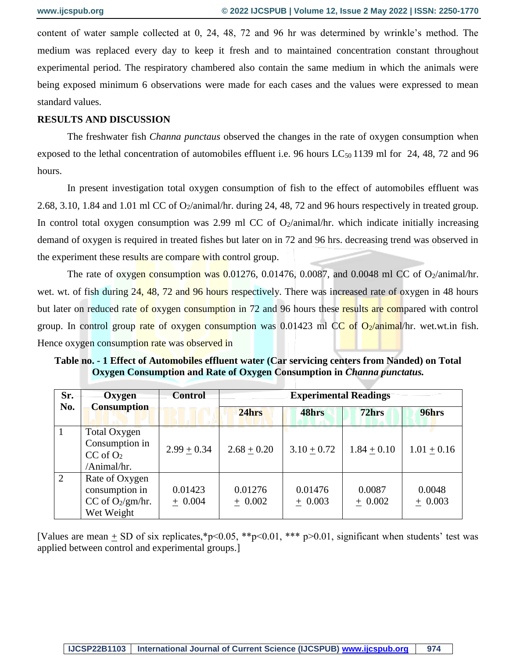content of water sample collected at 0, 24, 48, 72 and 96 hr was determined by wrinkle's method. The medium was replaced every day to keep it fresh and to maintained concentration constant throughout experimental period. The respiratory chambered also contain the same medium in which the animals were being exposed minimum 6 observations were made for each cases and the values were expressed to mean standard values.

#### **RESULTS AND DISCUSSION**

The freshwater fish *Channa punctaus* observed the changes in the rate of oxygen consumption when exposed to the lethal concentration of automobiles effluent i.e. 96 hours  $LC_{50}$  1139 ml for 24, 48, 72 and 96 hours.

In present investigation total oxygen consumption of fish to the effect of automobiles effluent was 2.68, 3.10, 1.84 and 1.01 ml CC of O<sub>2</sub>/animal/hr. during 24, 48, 72 and 96 hours respectively in treated group. In control total oxygen consumption was 2.99 ml CC of  $O_2$ /animal/hr. which indicate initially increasing demand of oxygen is required in treated fishes but later on in 72 and 96 hrs. decreasing trend was observed in the experiment these results are compare with control group.

The rate of oxygen consumption was  $0.01276$ , 0.01476, 0.0087, and 0.0048 ml CC of O<sub>2</sub>/animal/hr. wet. wt. of fish during 24, 48, 72 and 96 hours respectively. There was increased rate of oxygen in 48 hours but later on reduced rate of oxygen consumption in 72 and 96 hours these results are compared with control group. In control group rate of oxygen consumption was 0.01423 ml CC of  $O_2$ /animal/hr. wet.wt.in fish. Hence oxygen consumption rate was observed in

**Table no. - 1 Effect of Automobiles effluent water (Car servicing centers from Nanded) on Total Oxygen Consumption and Rate of Oxygen Consumption in** *Channa punctatus***.** 

| Sr.<br>No.     | Oxygen<br><b>Consumption</b>                                          | <b>Control</b>       | <b>Experimental Readings</b> |                      |                     |                     |
|----------------|-----------------------------------------------------------------------|----------------------|------------------------------|----------------------|---------------------|---------------------|
|                |                                                                       |                      | 24hrs                        | 48hrs                | 72hrs               | 96hrs               |
| $\overline{1}$ | Total Oxygen<br>Consumption in<br>$CC$ of $O2$<br>/Animal/hr.         | $2.99 + 0.34$        | $2.68 + 0.20$                | $3.10 + 0.72$        | $1.84 + 0.10$       | $1.01 + 0.16$       |
| 2              | Rate of Oxygen<br>consumption in<br>CC of $O_2/gm/hr$ .<br>Wet Weight | 0.01423<br>$+ 0.004$ | 0.01276<br>$+ 0.002$         | 0.01476<br>$+ 0.003$ | 0.0087<br>$+ 0.002$ | 0.0048<br>$+ 0.003$ |

[Values are mean + SD of six replicates,\*p<0.05, \*\*p<0.01, \*\*\* p>0.01, significant when students' test was applied between control and experimental groups.]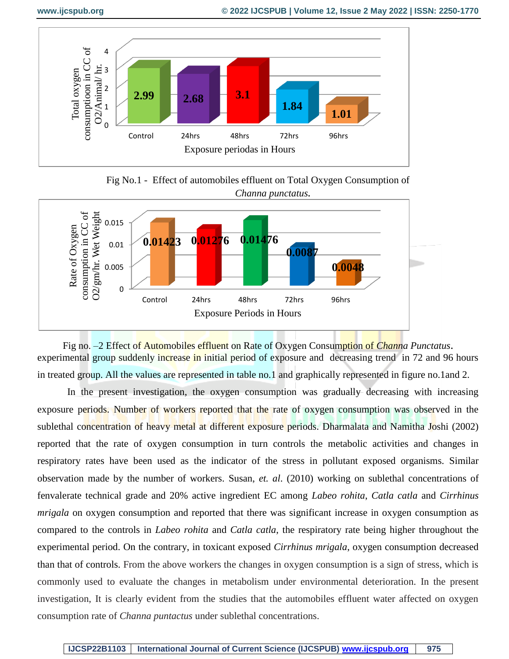

Fig No.1 - Effect of automobiles effluent on Total Oxygen Consumption of *Channa punctatus.*



Fig no. –2 Effect of Automobiles effluent on Rate of Oxygen Consumption of *Channa Punctatus*. experimental group suddenly increase in initial period of exposure and decreasing trend in 72 and 96 hours in treated group. All the values are represented in table no.1 and graphically represented in figure no.1and 2.

In the present investigation, the oxygen consumption was gradually decreasing with increasing exposure periods. Number of workers reported that the rate of oxygen consumption was observed in the sublethal concentration of heavy metal at different exposure periods. Dharmalata and Namitha Joshi (2002) reported that the rate of oxygen consumption in turn controls the metabolic activities and changes in respiratory rates have been used as the indicator of the stress in pollutant exposed organisms. Similar observation made by the number of workers. Susan, *et. al*. (2010) working on sublethal concentrations of fenvalerate technical grade and 20% active ingredient EC among *Labeo rohita*, *Catla catla* and *Cirrhinus mrigala* on oxygen consumption and reported that there was significant increase in oxygen consumption as compared to the controls in *Labeo rohita* and *Catla catla*, the respiratory rate being higher throughout the experimental period. On the contrary, in toxicant exposed *Cirrhinus mrigala*, oxygen consumption decreased than that of controls. From the above workers the changes in oxygen consumption is a sign of stress, which is commonly used to evaluate the changes in metabolism under environmental deterioration. In the present investigation, It is clearly evident from the studies that the automobiles effluent water affected on oxygen consumption rate of *Channa puntactus* under sublethal concentrations.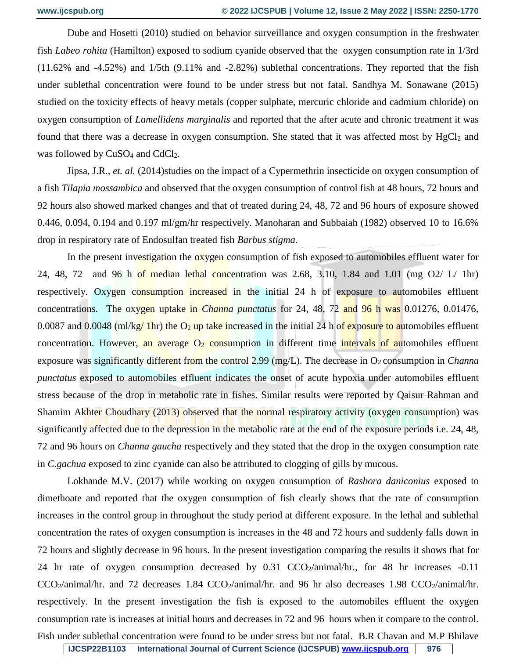Dube and Hosetti (2010) studied on behavior surveillance and oxygen consumption in the freshwater fish *Labeo rohita* (Hamilton) exposed to sodium cyanide observed that the oxygen consumption rate in 1/3rd (11.62% and -4.52%) and 1/5th (9.11% and -2.82%) sublethal concentrations. They reported that the fish under sublethal concentration were found to be under stress but not fatal. Sandhya M. Sonawane (2015) studied on the toxicity effects of heavy metals (copper sulphate, mercuric chloride and cadmium chloride) on oxygen consumption of *Lamellidens marginalis* and reported that the after acute and chronic treatment it was found that there was a decrease in oxygen consumption. She stated that it was affected most by  $HgCl<sub>2</sub>$  and was followed by  $CuSO<sub>4</sub>$  and  $CdCl<sub>2</sub>$ .

Jipsa, J.R., *et. al.* (2014)studies on the impact of a Cypermethrin insecticide on oxygen consumption of a fish *Tilapia mossambica* and observed that the oxygen consumption of control fish at 48 hours, 72 hours and 92 hours also showed marked changes and that of treated during 24, 48, 72 and 96 hours of exposure showed 0.446, 0.094, 0.194 and 0.197 ml/gm/hr respectively. Manoharan and Subbaiah (1982) observed 10 to 16.6% drop in respiratory rate of Endosulfan treated fish *Barbus stigma.* 

In the present investigation the oxygen consumption of fish exposed to automobiles effluent water for 24, 48, 72 and 96 h of median lethal concentration was 2.68, 3.10, 1.84 and 1.01 (mg  $O2/L / 1$ hr) respectively. Oxygen consumption increased in the initial 24 h of exposure to automobiles effluent concentrations. The oxygen uptake in *Channa punctatus* for 24, 48, 72 and 96 h was 0.01276, 0.01476, 0.0087 and 0.0048 (ml/kg/ 1hr) the  $O_2$  up take increased in the initial 24 h of exposure to automobiles effluent concentration. However, an average  $O_2$  consumption in different time intervals of automobiles effluent exposure was significantly different from the control 2.99 (mg/L). The decrease in O<sub>2</sub> consumption in *Channa punctatus* exposed to automobiles effluent indicates the onset of acute hypoxia under automobiles effluent stress because of the drop in metabolic rate in fishes. Similar results were reported by Qaisur Rahman and Shamim Akhter Choudhary (2013) observed that the normal respiratory activity (oxygen consumption) was significantly affected due to the depression in the metabolic rate at the end of the exposure periods i.e. 24, 48, 72 and 96 hours on *Channa gaucha* respectively and they stated that the drop in the oxygen consumption rate in *C.gachua* exposed to zinc cyanide can also be attributed to clogging of gills by mucous.

Lokhande M.V. (2017) while working on oxygen consumption of *Rasbora daniconius* exposed to dimethoate and reported that the oxygen consumption of fish clearly shows that the rate of consumption increases in the control group in throughout the study period at different exposure. In the lethal and sublethal concentration the rates of oxygen consumption is increases in the 48 and 72 hours and suddenly falls down in 72 hours and slightly decrease in 96 hours. In the present investigation comparing the results it shows that for 24 hr rate of oxygen consumption decreased by  $0.31$  CCO<sub>2</sub>/animal/hr., for 48 hr increases  $-0.11$  $CCO<sub>2</sub>/animal/hr$ . and 72 decreases 1.84  $CCO<sub>2</sub>/animal/hr$ . and 96 hr also decreases 1.98  $CCO<sub>2</sub>/animal/hr$ . respectively. In the present investigation the fish is exposed to the automobiles effluent the oxygen consumption rate is increases at initial hours and decreases in 72 and 96 hours when it compare to the control. Fish under sublethal concentration were found to be under stress but not fatal. B.R Chavan and M.P Bhilave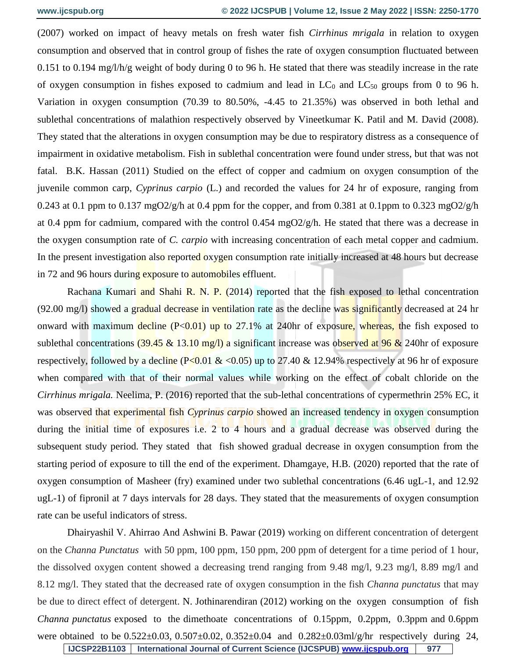(2007) worked on impact of heavy metals on fresh water fish *Cirrhinus mrigala* in relation to oxygen consumption and observed that in control group of fishes the rate of oxygen consumption fluctuated between 0.151 to 0.194 mg/l/h/g weight of body during 0 to 96 h. He stated that there was steadily increase in the rate of oxygen consumption in fishes exposed to cadmium and lead in  $LC_0$  and  $LC_{50}$  groups from 0 to 96 h. Variation in oxygen consumption (70.39 to 80.50%, -4.45 to 21.35%) was observed in both lethal and sublethal concentrations of malathion respectively observed by Vineetkumar K. Patil and M. David (2008). They stated that the alterations in oxygen consumption may be due to respiratory distress as a consequence of impairment in oxidative metabolism. Fish in sublethal concentration were found under stress, but that was not fatal. B.K. Hassan (2011) Studied on the effect of copper and cadmium on oxygen consumption of the juvenile common carp, *Cyprinus carpio* (L.) and recorded the values for 24 hr of exposure, ranging from 0.243 at 0.1 ppm to 0.137 mgO2/g/h at 0.4 ppm for the copper, and from 0.381 at 0.1 ppm to 0.323 mgO2/g/h at 0.4 ppm for cadmium, compared with the control 0.454 mgO2/g/h. He stated that there was a decrease in the oxygen consumption rate of *C. carpio* with increasing concentration of each metal copper and cadmium. In the present investigation also reported oxygen consumption rate initially increased at 48 hours but decrease in 72 and 96 hours during exposure to automobiles effluent.

Rachana Kumari and Shahi R. N. P. (2014) reported that the fish exposed to lethal concentration (92.00 mg/l) showed a gradual decrease in ventilation rate as the decline was significantly decreased at 24 hr onward with maximum decline  $(P<0.01)$  up to 27.1% at 240hr of exposure, whereas, the fish exposed to sublethal concentrations  $(39.45 \& 13.10 \text{ mg/l})$  a significant increase was observed at 96  $\&$  240hr of exposure respectively, followed by a decline ( $P<0.01 \& 0.05$ ) up to 27.40  $& 12.94\%$  respectively at 96 hr of exposure when compared with that of their normal values while working on the effect of cobalt chloride on the *Cirrhinus mrigala.* Neelima, P. (2016) reported that the sub-lethal concentrations of cypermethrin 25% EC, it was observed that experimental fish *Cyprinus carpio* showed an increased tendency in oxygen consumption during the initial time of exposures i.e. 2 to 4 hours and a gradual decrease was observed during the subsequent study period. They stated that fish showed gradual decrease in oxygen consumption from the starting period of exposure to till the end of the experiment. Dhamgaye, H.B. (2020) reported that the rate of oxygen consumption of Masheer (fry) examined under two sublethal concentrations (6.46 ugL-1, and 12.92 ugL-1) of fipronil at 7 days intervals for 28 days. They stated that the measurements of oxygen consumption rate can be useful indicators of stress.

Dhairyashil V. Ahirrao And Ashwini B. Pawar (2019) working on different concentration of detergent on the *Channa Punctatus* with 50 ppm, 100 ppm, 150 ppm, 200 ppm of detergent for a time period of 1 hour, the dissolved oxygen content showed a decreasing trend ranging from 9.48 mg/l, 9.23 mg/l, 8.89 mg/l and 8.12 mg/l. They stated that the decreased rate of oxygen consumption in the fish *Channa punctatus* that may be due to direct effect of detergent. N. Jothinarendiran (2012) working on the oxygen consumption of fish *Channa punctatus* exposed to the dimethoate concentrations of 0.15ppm, 0.2ppm, 0.3ppm and 0.6ppm were obtained to be  $0.522 \pm 0.03$ ,  $0.507 \pm 0.02$ ,  $0.352 \pm 0.04$  and  $0.282 \pm 0.03$ ml/g/hr respectively during 24,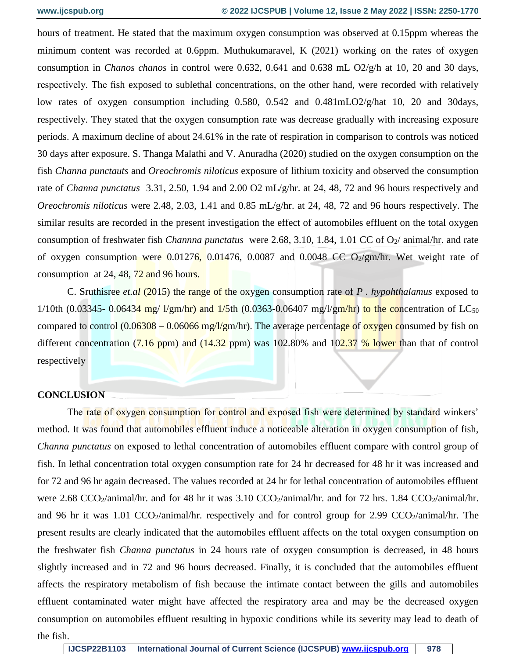hours of treatment. He stated that the maximum oxygen consumption was observed at 0.15ppm whereas the minimum content was recorded at 0.6ppm. Muthukumaravel, K (2021) working on the rates of oxygen consumption in *Chanos chanos* in control were 0.632, 0.641 and 0.638 mL O2/g/h at 10, 20 and 30 days, respectively. The fish exposed to sublethal concentrations, on the other hand, were recorded with relatively low rates of oxygen consumption including 0.580, 0.542 and 0.481mLO2/g/hat 10, 20 and 30days, respectively. They stated that the oxygen consumption rate was decrease gradually with increasing exposure periods. A maximum decline of about 24.61% in the rate of respiration in comparison to controls was noticed 30 days after exposure. S. Thanga Malathi and V. Anuradha (2020) studied on the oxygen consumption on the fish *Channa punctauts* and *Oreochromis niloticus* exposure of lithium toxicity and observed the consumption rate of *Channa punctatus* 3.31, 2.50, 1.94 and 2.00 O2 mL/g/hr. at 24, 48, 72 and 96 hours respectively and *Oreochromis niloticus* were 2.48, 2.03, 1.41 and 0.85 mL/g/hr. at 24, 48, 72 and 96 hours respectively. The similar results are recorded in the present investigation the effect of automobiles effluent on the total oxygen consumption of freshwater fish *Channna punctatus* were 2.68, 3.10, 1.84, 1.01 CC of O<sub>2</sub>/ animal/hr. and rate of oxygen consumption were  $0.01276$ ,  $0.01476$ ,  $0.0087$  and  $0.0048$  CC  $O_2/gm/hr$ . Wet weight rate of consumption at 24, 48,  $72$  and 96 hours.

C. Sruthisree *et.al* (2015) the range of the oxygen consumption rate of *P . hypohthalamus* exposed to 1/10th (0.03345- 0.06434 mg/ l/gm/hr) and 1/5th (0.0363-0.06407 mg/l/gm/hr) to the concentration of  $LC_{50}$ compared to control  $(0.06308 - 0.06066 \text{ mg/l/gm/hr})$ . The average percentage of oxygen consumed by fish on different concentration  $(7.16 \text{ ppm})$  and  $(14.32 \text{ ppm})$  was 102.80% and 102.37 % lower than that of control respectively

#### **CONCLUSION**

The rate of oxygen consumption for control and exposed fish were determined by standard winkers' method. It was found that automobiles effluent induce a noticeable alteration in oxygen consumption of fish, *Channa punctatus* on exposed to lethal concentration of automobiles effluent compare with control group of fish. In lethal concentration total oxygen consumption rate for 24 hr decreased for 48 hr it was increased and for 72 and 96 hr again decreased. The values recorded at 24 hr for lethal concentration of automobiles effluent were 2.68 CCO<sub>2</sub>/animal/hr. and for 48 hr it was 3.10 CCO<sub>2</sub>/animal/hr. and for 72 hrs. 1.84 CCO<sub>2</sub>/animal/hr. and 96 hr it was 1.01  $CCO_2$ /animal/hr. respectively and for control group for 2.99  $CCO_2$ /animal/hr. The present results are clearly indicated that the automobiles effluent affects on the total oxygen consumption on the freshwater fish *Channa punctatus* in 24 hours rate of oxygen consumption is decreased, in 48 hours slightly increased and in 72 and 96 hours decreased. Finally, it is concluded that the automobiles effluent affects the respiratory metabolism of fish because the intimate contact between the gills and automobiles effluent contaminated water might have affected the respiratory area and may be the decreased oxygen consumption on automobiles effluent resulting in hypoxic conditions while its severity may lead to death of the fish.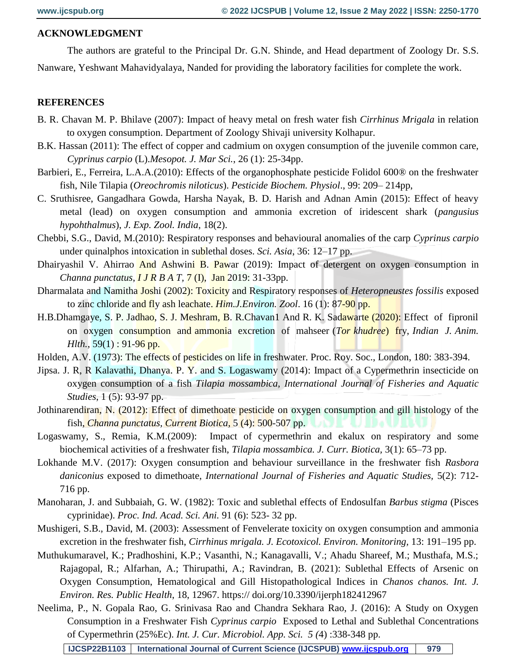#### **ACKNOWLEDGMENT**

The authors are grateful to the Principal Dr. G.N. Shinde, and Head department of Zoology Dr. S.S.

Nanware, Yeshwant Mahavidyalaya, Nanded for providing the laboratory facilities for complete the work.

#### **REFERENCES**

- B. R. Chavan M. P. Bhilave (2007): Impact of heavy metal on fresh water fish *Cirrhinus Mrigala* in relation to oxygen consumption. Department of Zoology Shivaji university Kolhapur.
- B.K. Hassan (2011): The effect of copper and cadmium on oxygen consumption of the juvenile common care, *Cyprinus carpio* (L).*Mesopot. J. Mar Sci.*, 26 (1): 25-34pp.
- Barbieri, E., Ferreira, L.A.A.(2010): Effects of the organophosphate pesticide Folidol 600® on the freshwater fish, Nile Tilapia (*Oreochromis niloticus*). *Pesticide Biochem. Physiol*., 99: 209– 214pp,
- C. Sruthisree, Gangadhara Gowda, Harsha Nayak, B. D. Harish and Adnan Amin (2015): Effect of heavy metal (lead) on oxygen consumption and ammonia excretion of iridescent shark (*pangusius hypohthalmus*), *J. Exp. Zool. India*, 18(2).
- Chebbi, S.G., David, M.(2010): Respiratory responses and behavioural anomalies of the carp *Cyprinus carpio* under quinalphos intoxication in sublethal doses. *Sci. Asia*, 36: 12–17 pp.
- Dhairyashil V. Ahirrao And Ashwini B. Pawar (2019): Impact of detergent on oxygen consumption in *Channa punctatus*, *I J R B A T,* 7 (I), Jan 2019: 31-33pp.
- Dharmalata and Namitha Joshi (2002): Toxicity and Respiratory responses of *Heteropneustes fossilis* exposed to zinc chloride and fly ash leachate. *Him.J.Environ. Zool*. 16 (1): 87-90 pp.
- H.B.Dhamgaye, S. P. Jadhao, S. J. Meshram, B. R.Chavan1 And R. K. Sadawarte (2020): Effect of fipronil on oxygen consumption and ammonia excretion of mahseer (*Tor khudree*) fry, *Indian J. Anim. Hlth.*, 59(1) : 91-96 pp.
- Holden, A.V. (1973): The effects of pesticides on life in freshwater. Proc. Roy. Soc., London, 180: 383-394.
- Jipsa. J. R, R Kalavathi, Dhanya. P. Y. and S. Logaswamy (2014): Impact of a Cypermethrin insecticide on oxygen consumption of a fish *Tilapia mossambica, International Journal of Fisheries and Aquatic Studies*, 1 (5): 93-97 pp.
- Jothinarendiran, N. (2012): Effect of dimethoate pesticide on oxygen consumption and gill histology of the fish, *Channa punctatus, Current Biotica,* 5 (4): 500-507 pp.
- Logaswamy, S., Remia, K.M.(2009): Impact of cypermethrin and ekalux on respiratory and some biochemical activities of a freshwater fish, *Tilapia mossambica. J. Curr. Biotica,* 3(1): 65–73 pp.
- Lokhande M.V. (2017): Oxygen consumption and behaviour surveillance in the freshwater fish *Rasbora daniconius* exposed to dimethoate, *International Journal of Fisheries and Aquatic Studies,* 5(2): 712- 716 pp.
- Manoharan, J. and Subbaiah, G. W. (1982): Toxic and sublethal effects of Endosulfan *Barbus stigma* (Pisces cyprinidae). *Proc. Ind. Acad. Sci. Ani.* 91 (6): 523- 32 pp.
- Mushigeri, S.B., David, M. (2003): Assessment of Fenvelerate toxicity on oxygen consumption and ammonia excretion in the freshwater fish, *Cirrhinus mrigala. J. Ecotoxicol. Environ. Monitoring,* 13: 191–195 pp.
- Muthukumaravel, K.; Pradhoshini, K.P.; Vasanthi, N.; Kanagavalli, V.; Ahadu Shareef, M.; Musthafa, M.S.; Rajagopal, R.; Alfarhan, A.; Thirupathi, A.; Ravindran, B. (2021): Sublethal Effects of Arsenic on Oxygen Consumption, Hematological and Gill Histopathological Indices in *Chanos chanos. Int. J. Environ. Res. Public Health*, 18, 12967. https:// doi.org/10.3390/ijerph182412967
- Neelima, P., N. Gopala Rao, G. Srinivasa Rao and Chandra Sekhara Rao, J. (2016): A Study on Oxygen Consumption in a Freshwater Fish *Cyprinus carpio* Exposed to Lethal and Sublethal Concentrations of Cypermethrin (25%Ec). *Int. J. Cur. Microbiol. App. Sci. 5 (*4) :338-348 pp.

**IJCSP22B1103 International Journal of Current Science (IJCSPUB) [www.ijcspub.org](http://www.ijcrt.org/) 979**